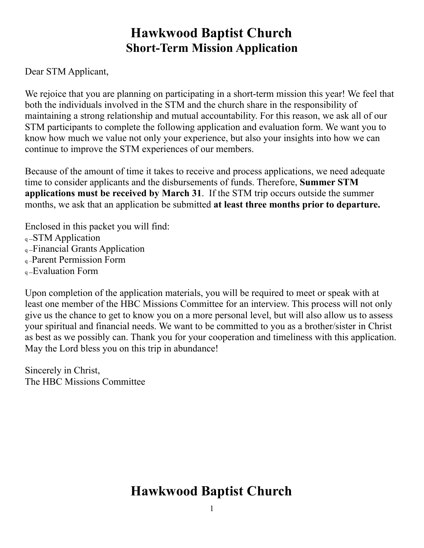## **Hawkwood Baptist Church Short-Term Mission Application**

Dear STM Applicant,

We rejoice that you are planning on participating in a short-term mission this year! We feel that both the individuals involved in the STM and the church share in the responsibility of maintaining a strong relationship and mutual accountability. For this reason, we ask all of our STM participants to complete the following application and evaluation form. We want you to know how much we value not only your experience, but also your insights into how we can continue to improve the STM experiences of our members.

Because of the amount of time it takes to receive and process applications, we need adequate time to consider applicants and the disbursements of funds. Therefore, **Summer STM applications must be received by March 31**. If the STM trip occurs outside the summer months, we ask that an application be submitted **at least three months prior to departure.** 

Enclosed in this packet you will find: q --STM Application q --Financial Grants Application q –Parent Permission Form q --Evaluation Form

Upon completion of the application materials, you will be required to meet or speak with at least one member of the HBC Missions Committee for an interview. This process will not only give us the chance to get to know you on a more personal level, but will also allow us to assess your spiritual and financial needs. We want to be committed to you as a brother/sister in Christ as best as we possibly can. Thank you for your cooperation and timeliness with this application. May the Lord bless you on this trip in abundance!

Sincerely in Christ, The HBC Missions Committee

## **Hawkwood Baptist Church**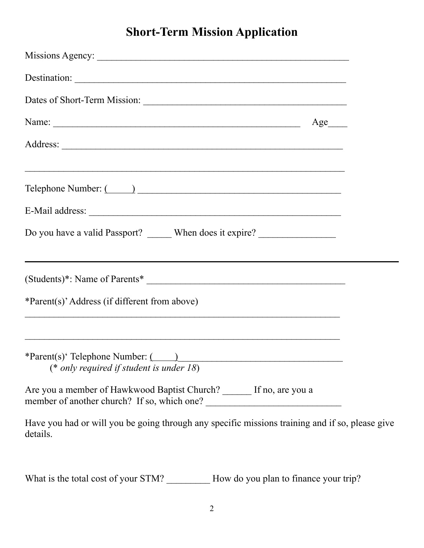## **Short-Term Mission Application**

| Destination:                                                                                                        |  |
|---------------------------------------------------------------------------------------------------------------------|--|
|                                                                                                                     |  |
| Name:<br>$Age$ <sub>_____</sub>                                                                                     |  |
|                                                                                                                     |  |
| ,我们也不能在这里的人,我们也不能在这里的人,我们也不能不能不能不能不能不能不能不能不能不能不能。""我们的人,我们也不能不能不能不能不能不能不能不能不能不能不                                    |  |
|                                                                                                                     |  |
|                                                                                                                     |  |
| Do you have a valid Passport? ______ When does it expire? ______________________                                    |  |
|                                                                                                                     |  |
| *Parent(s)' Address (if different from above)                                                                       |  |
| <u> 1989 - Johann John Stone, Amerikaansk politiker (d. 1989)</u>                                                   |  |
| *Parent(s)' Telephone Number: (2008)<br>(* only required if student is under $18$ )                                 |  |
| Are you a member of Hawkwood Baptist Church? ______ If no, are you a<br>member of another church? If so, which one? |  |
| Have you had or will you be going through any specific missions training and if so, please give<br>details.         |  |

What is the total cost of your STM? \_\_\_\_\_\_\_\_\_\_ How do you plan to finance your trip?